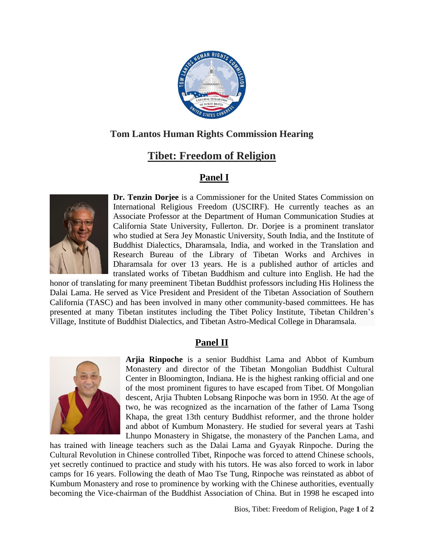

## **Tom Lantos Human Rights Commission Hearing**

## **Tibet: Freedom of Religion**

## **Panel I**



**Dr. Tenzin Dorjee** is a Commissioner for the United States Commission on International Religious Freedom (USCIRF). He currently teaches as an Associate Professor at the Department of Human Communication Studies at California State University, Fullerton. Dr. Dorjee is a prominent translator who studied at Sera Jey Monastic University, South India, and the Institute of Buddhist Dialectics, Dharamsala, India, and worked in the Translation and Research Bureau of the Library of Tibetan Works and Archives in Dharamsala for over 13 years. He is a published author of articles and translated works of Tibetan Buddhism and culture into English. He had the

honor of translating for many preeminent Tibetan Buddhist professors including His Holiness the Dalai Lama. He served as Vice President and President of the Tibetan Association of Southern California (TASC) and has been involved in many other community-based committees. He has presented at many Tibetan institutes including the Tibet Policy Institute, Tibetan Children's Village, Institute of Buddhist Dialectics, and Tibetan Astro-Medical College in Dharamsala.

## **Panel II**



**Arjia Rinpoche** is a senior Buddhist Lama and Abbot of Kumbum Monastery and director of the Tibetan Mongolian Buddhist Cultural Center in Bloomington, Indiana. He is the highest ranking official and one of the most prominent figures to have escaped from Tibet. Of Mongolian descent, Arjia Thubten Lobsang Rinpoche was born in 1950. At the age of two, he was recognized as the incarnation of the father of Lama Tsong Khapa, the great 13th century Buddhist reformer, and the throne holder and abbot of Kumbum Monastery. He studied for several years at Tashi Lhunpo Monastery in Shigatse, the monastery of the Panchen Lama, and

has trained with lineage teachers such as the Dalai Lama and Gyayak Rinpoche. During the Cultural Revolution in Chinese controlled Tibet, Rinpoche was forced to attend Chinese schools, yet secretly continued to practice and study with his tutors. He was also forced to work in labor camps for 16 years. Following the death of Mao Tse Tung, Rinpoche was reinstated as abbot of Kumbum Monastery and rose to prominence by working with the Chinese authorities, eventually becoming the Vice-chairman of the Buddhist Association of China. But in 1998 he escaped into